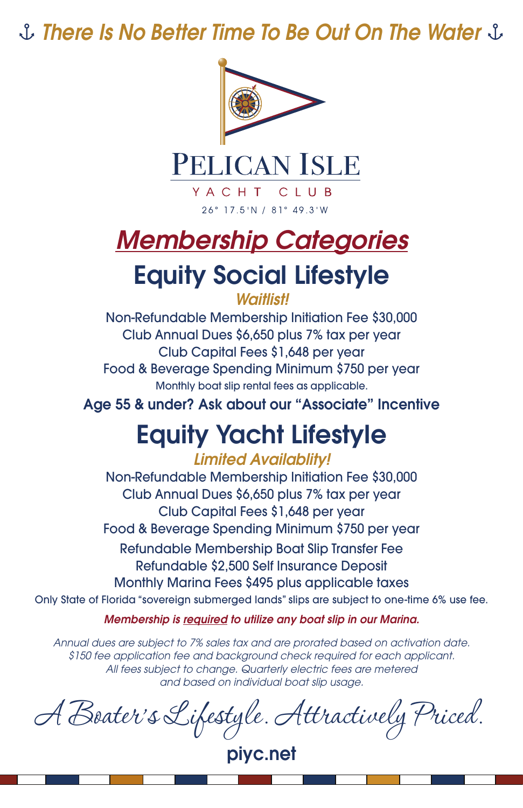*There Is No Better Time To Be Out On The Water*



PELICAN ISLE

YACHT CLUB 26° 17.5'N / 81° 49.3'W

## **Membership Categories**

## Equity Social Lifestyle

*Waitlist!*

Non-Refundable Membership Initiation Fee \$30,000 Club Annual Dues \$6,650 plus 7% tax per year Club Capital Fees \$1,648 per year Food & Beverage Spending Minimum \$750 per year Monthly boat slip rental fees as applicable.

Age 55 & under? Ask about our "Associate" Incentive

## Equity Yacht Lifestyle

#### *Limited Availablity!*

Non-Refundable Membership Initiation Fee \$30,000 Club Annual Dues \$6,650 plus 7% tax per year Club Capital Fees \$1,648 per year Food & Beverage Spending Minimum \$750 per year Refundable Membership Boat Slip Transfer Fee Refundable \$2,500 Self Insurance Deposit Monthly Marina Fees \$495 plus applicable taxes

Only State of Florida "sovereign submerged lands" slips are subject to one-time 6% use fee.

*Membership is required to utilize any boat slip in our Marina.*

*Annual dues are subject to 7% sales tax and are prorated based on activation date. \$150 fee application fee and background check required for each applicant. All fees subject to change. Quarterly electric fees are metered and based on individual boat slip usage.*

A Boater's Lifestyle. Attractively Priced.

piyc.net